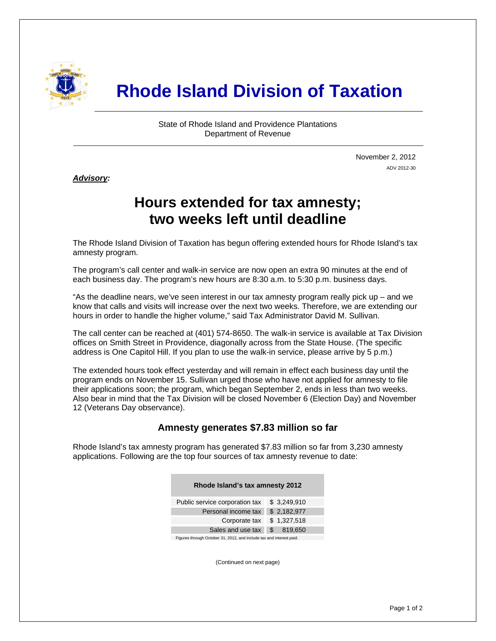

# **Rhode Island Division of Taxation**

State of Rhode Island and Providence Plantations Department of Revenue

> November 2, 2012 ADV 2012-30

#### *Advisory:*

i

# **Hours extended for tax amnesty; two weeks left until deadline**

The Rhode Island Division of Taxation has begun offering extended hours for Rhode Island's tax amnesty program.

The program's call center and walk-in service are now open an extra 90 minutes at the end of each business day. The program's new hours are 8:30 a.m. to 5:30 p.m. business days.

"As the deadline nears, we've seen interest in our tax amnesty program really pick up – and we know that calls and visits will increase over the next two weeks. Therefore, we are extending our hours in order to handle the higher volume," said Tax Administrator David M. Sullivan.

The call center can be reached at (401) 574-8650. The walk-in service is available at Tax Division offices on Smith Street in Providence, diagonally across from the State House. (The specific address is One Capitol Hill. If you plan to use the walk-in service, please arrive by 5 p.m.)

The extended hours took effect yesterday and will remain in effect each business day until the program ends on November 15. Sullivan urged those who have not applied for amnesty to file their applications soon; the program, which began September 2, ends in less than two weeks. Also bear in mind that the Tax Division will be closed November 6 (Election Day) and November 12 (Veterans Day observance).

#### **Amnesty generates \$7.83 million so far**

Rhode Island's tax amnesty program has generated \$7.83 million so far from 3,230 amnesty applications. Following are the top four sources of tax amnesty revenue to date:

| Rhode Island's tax amnesty 2012                                      |                |
|----------------------------------------------------------------------|----------------|
| Public service corporation tax                                       | \$3,249,910    |
| Personal income tax                                                  | \$2,182,977    |
| Corporate tax                                                        | \$1,327,518    |
| Sales and use tax                                                    | \$.<br>819,650 |
| Figures through October 31, 2012, and include tax and interest paid. |                |

(Continued on next page)